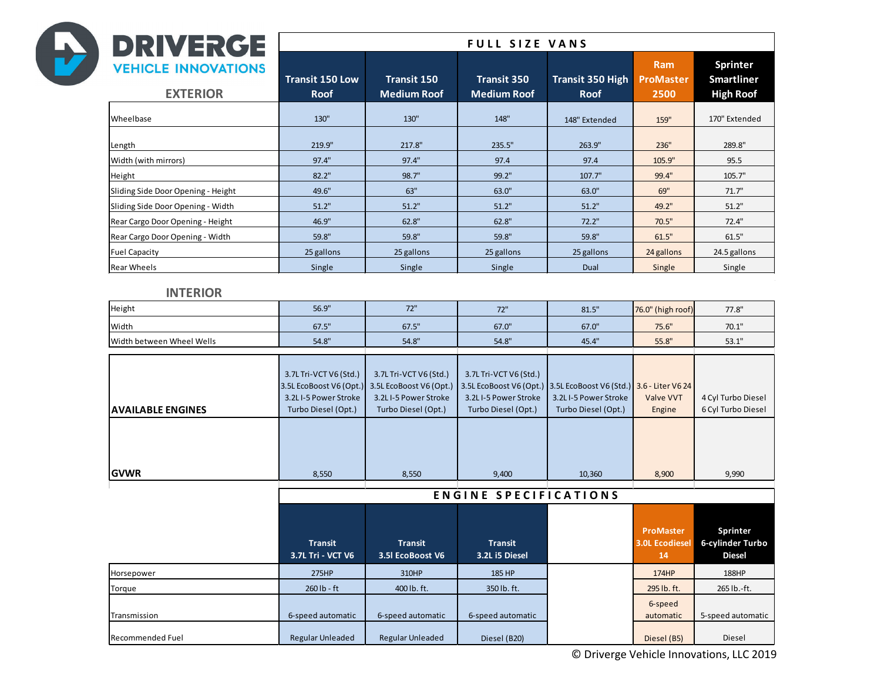| <b>DRIVERGE</b><br>$\rightarrow$              |                                                                                                           |                                                                                                           | <b>FULL SIZE VANS</b>                                                                                     |                                                                                  |                                                   |                                                          |  |
|-----------------------------------------------|-----------------------------------------------------------------------------------------------------------|-----------------------------------------------------------------------------------------------------------|-----------------------------------------------------------------------------------------------------------|----------------------------------------------------------------------------------|---------------------------------------------------|----------------------------------------------------------|--|
| <b>VEHICLE INNOVATIONS</b><br><b>EXTERIOR</b> | <b>Transit 150 Low</b><br><b>Roof</b>                                                                     | <b>Transit 150</b><br><b>Medium Roof</b>                                                                  | <b>Transit 350</b><br><b>Medium Roof</b>                                                                  | <b>Transit 350 High</b><br><b>Roof</b>                                           | Ram<br>ProMaster<br>2500                          | <b>Sprinter</b><br><b>Smartliner</b><br><b>High Roof</b> |  |
| Wheelbase                                     | 130"                                                                                                      | 130"                                                                                                      | 148"                                                                                                      | 148" Extended                                                                    | 159"                                              | 170" Extended                                            |  |
| Length                                        | 219.9"                                                                                                    | 217.8"                                                                                                    | 235.5"                                                                                                    | 263.9"                                                                           | 236"                                              | 289.8"                                                   |  |
| Width (with mirrors)                          | 97.4"                                                                                                     | 97.4"                                                                                                     | 97.4                                                                                                      | 97.4                                                                             | 105.9"                                            | 95.5                                                     |  |
| Height                                        | 82.2"                                                                                                     | 98.7"                                                                                                     | 99.2"                                                                                                     | 107.7"                                                                           | 99.4"                                             | 105.7"                                                   |  |
| Sliding Side Door Opening - Height            | 49.6"                                                                                                     | 63"                                                                                                       | 63.0"                                                                                                     | 63.0"                                                                            | 69"                                               | 71.7"                                                    |  |
| Sliding Side Door Opening - Width             | 51.2"                                                                                                     | 51.2"                                                                                                     | 51.2"                                                                                                     | 51.2"                                                                            | 49.2"                                             | 51.2"                                                    |  |
| Rear Cargo Door Opening - Height              | 46.9"                                                                                                     | 62.8"                                                                                                     | 62.8"                                                                                                     | 72.2"                                                                            | 70.5"                                             | 72.4"                                                    |  |
| Rear Cargo Door Opening - Width               | 59.8"                                                                                                     | 59.8"                                                                                                     | 59.8"                                                                                                     | 59.8"                                                                            | 61.5"                                             | 61.5"                                                    |  |
| <b>Fuel Capacity</b>                          | 25 gallons                                                                                                | 25 gallons                                                                                                | 25 gallons                                                                                                | 25 gallons                                                                       | 24 gallons                                        | 24.5 gallons                                             |  |
| <b>Rear Wheels</b>                            | Single                                                                                                    | Single                                                                                                    | Single                                                                                                    | Dual                                                                             | Single                                            | Single                                                   |  |
| <b>INTERIOR</b>                               |                                                                                                           |                                                                                                           |                                                                                                           |                                                                                  |                                                   |                                                          |  |
| Height                                        | 56.9"                                                                                                     | 72"                                                                                                       | 72"                                                                                                       | 81.5"                                                                            | 76.0" (high roof)                                 | 77.8"                                                    |  |
| Width                                         | 67.5"                                                                                                     | 67.5"                                                                                                     | 67.0"                                                                                                     | 67.0"                                                                            | 75.6"                                             | 70.1"                                                    |  |
| Width between Wheel Wells                     | 54.8"                                                                                                     | 54.8"                                                                                                     | 54.8"                                                                                                     | 45.4"                                                                            | 55.8"                                             | 53.1"                                                    |  |
| <b>AVAILABLE ENGINES</b><br><b>GVWR</b>       | 3.7L Tri-VCT V6 (Std.)<br>3.5L EcoBoost V6 (Opt.)<br>3.2LI-5 Power Stroke<br>Turbo Diesel (Opt.)<br>8,550 | 3.7L Tri-VCT V6 (Std.)<br>3.5L EcoBoost V6 (Opt.)<br>3.2LI-5 Power Stroke<br>Turbo Diesel (Opt.)<br>8,550 | 3.7L Tri-VCT V6 (Std.)<br>3.5L EcoBoost V6 (Opt.)<br>3.2LI-5 Power Stroke<br>Turbo Diesel (Opt.)<br>9,400 | 3.5L EcoBoost V6 (Std.)<br>3.2LI-5 Power Stroke<br>Turbo Diesel (Opt.)<br>10,360 | 3.6 - Liter V6 24<br>Valve VVT<br>Engine<br>8,900 | 4 Cyl Turbo Diesel<br>6 Cyl Turbo Diesel<br>9,990        |  |
|                                               |                                                                                                           |                                                                                                           | <b>ENGINE SPECIFICATIONS</b>                                                                              |                                                                                  |                                                   |                                                          |  |
|                                               | <b>Transit</b><br>3.7L Tri - VCT V6                                                                       | <b>Transit</b><br>3.5 EcoBoost V6                                                                         | <b>Transit</b><br>3.2L i5 Diesel                                                                          |                                                                                  | ProMaster<br><b>3.0L Ecodiesel</b><br>14          | <b>Sprinter</b><br>6-cylinder Turbo<br><b>Diesel</b>     |  |
| Horsepower                                    | 275HP                                                                                                     | 310HP                                                                                                     | 185 HP                                                                                                    |                                                                                  | 174HP                                             | 188HP                                                    |  |
| Torque                                        | 260 lb - ft                                                                                               | 400 lb. ft.                                                                                               | 350 lb. ft.                                                                                               |                                                                                  | 295 lb. ft.                                       | 265 lb.-ft.                                              |  |
| Transmission                                  | 6-speed automatic                                                                                         | 6-speed automatic                                                                                         | 6-speed automatic                                                                                         |                                                                                  | 6-speed<br>automatic                              | 5-speed automatic                                        |  |
| <b>Recommended Fuel</b>                       | <b>Regular Unleaded</b>                                                                                   | <b>Regular Unleaded</b>                                                                                   | Diesel (B20)                                                                                              |                                                                                  | Diesel (B5)                                       | Diesel                                                   |  |

© Driverge Vehicle Innovations, LLC 2019